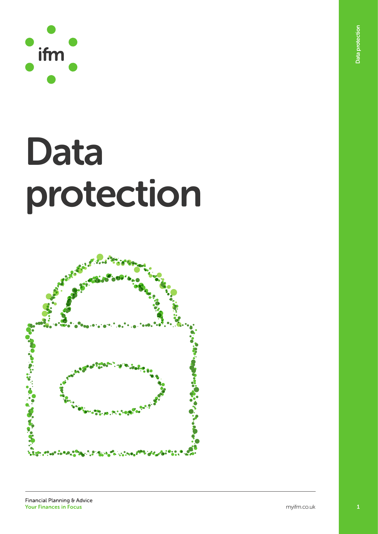

# Data protection

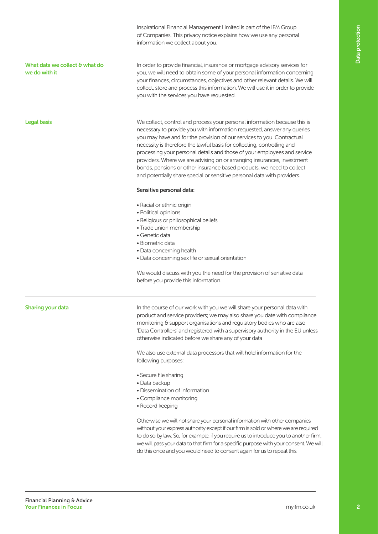Inspirational Financial Management Limited is part of the IFM Group of Companies. This privacy notice explains how we use any personal information we collect about you.

# What data we collect & what do we do with it

In order to provide financial, insurance or mortgage advisory services for you, we will need to obtain some of your personal information concerning your finances, circumstances, objectives and other relevant details. We will collect, store and process this information. We will use it in order to provide you with the services you have requested.

## Legal basis

We collect, control and process your personal information because this is necessary to provide you with information requested, answer any queries you may have and for the provision of our services to you. Contractual necessity is therefore the lawful basis for collecting, controlling and processing your personal details and those of your employees and service providers. Where we are advising on or arranging insurances, investment bonds, pensions or other insurance based products, we need to collect and potentially share special or sensitive personal data with providers.

### Sensitive personal data:

- Racial or ethnic origin
- Political opinions
- Religious or philosophical beliefs
- Trade union membership
- Genetic data
- Biometric data
- Data concerning health
- Data concerning sex life or sexual orientation

We would discuss with you the need for the provision of sensitive data before you provide this information.

### Sharing your data

In the course of our work with you we will share your personal data with product and service providers; we may also share you date with compliance monitoring & support organisations and regulatory bodies who are also 'Data Controllers' and registered with a supervisory authority in the EU unless otherwise indicated before we share any of your data

We also use external data processors that will hold information for the following purposes:

- Secure file sharing
- Data backup
- Dissemination of information
- Compliance monitoring
- Record keeping

Otherwise we will not share your personal information with other companies without your express authority except if our firm is sold or where we are required to do so by law. So, for example, if you require us to introduce you to another firm, we will pass your data to that firm for a specific purpose with your consent. We will do this once and you would need to consent again for us to repeat this.